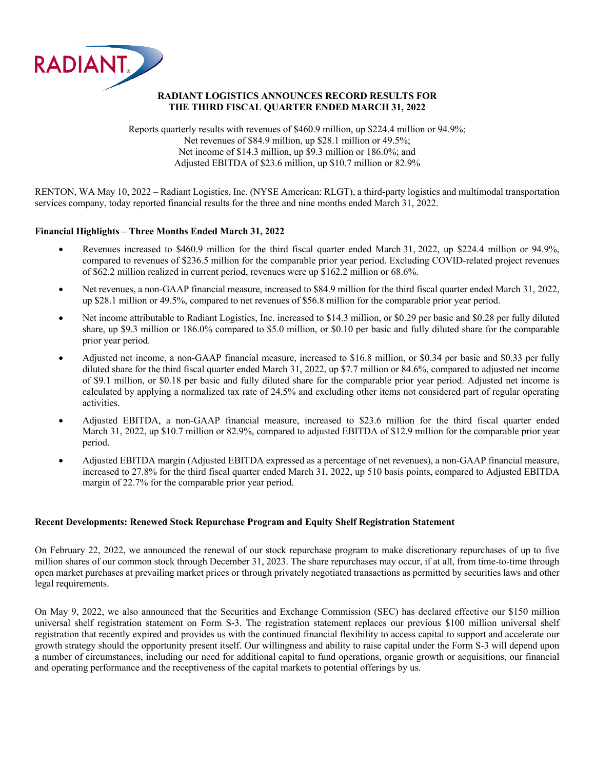

# **RADIANT LOGISTICS ANNOUNCES RECORD RESULTS FOR THE THIRD FISCAL QUARTER ENDED MARCH 31, 2022**

Reports quarterly results with revenues of \$460.9 million, up \$224.4 million or 94.9%; Net revenues of \$84.9 million, up \$28.1 million or 49.5%; Net income of \$14.3 million, up \$9.3 million or 186.0%; and Adjusted EBITDA of \$23.6 million, up \$10.7 million or 82.9%

RENTON, WA May 10, 2022 – Radiant Logistics, Inc. (NYSE American: RLGT), a third-party logistics and multimodal transportation services company, today reported financial results for the three and nine months ended March 31, 2022.

#### **Financial Highlights – Three Months Ended March 31, 2022**

- Revenues increased to \$460.9 million for the third fiscal quarter ended March 31, 2022, up \$224.4 million or 94.9%, compared to revenues of \$236.5 million for the comparable prior year period. Excluding COVID-related project revenues of \$62.2 million realized in current period, revenues were up \$162.2 million or 68.6%.
- Net revenues, a non-GAAP financial measure, increased to \$84.9 million for the third fiscal quarter ended March 31, 2022, up \$28.1 million or 49.5%, compared to net revenues of \$56.8 million for the comparable prior year period.
- Net income attributable to Radiant Logistics, Inc. increased to \$14.3 million, or \$0.29 per basic and \$0.28 per fully diluted share, up \$9.3 million or 186.0% compared to \$5.0 million, or \$0.10 per basic and fully diluted share for the comparable prior year period.
- Adjusted net income, a non-GAAP financial measure, increased to \$16.8 million, or \$0.34 per basic and \$0.33 per fully diluted share for the third fiscal quarter ended March 31, 2022, up \$7.7 million or 84.6%, compared to adjusted net income of \$9.1 million, or \$0.18 per basic and fully diluted share for the comparable prior year period. Adjusted net income is calculated by applying a normalized tax rate of 24.5% and excluding other items not considered part of regular operating activities.
- Adjusted EBITDA, a non-GAAP financial measure, increased to \$23.6 million for the third fiscal quarter ended March 31, 2022, up \$10.7 million or 82.9%, compared to adjusted EBITDA of \$12.9 million for the comparable prior year period.
- Adjusted EBITDA margin (Adjusted EBITDA expressed as a percentage of net revenues), a non-GAAP financial measure, increased to 27.8% for the third fiscal quarter ended March 31, 2022, up 510 basis points, compared to Adjusted EBITDA margin of 22.7% for the comparable prior year period.

#### **Recent Developments: Renewed Stock Repurchase Program and Equity Shelf Registration Statement**

On February 22, 2022, we announced the renewal of our stock repurchase program to make discretionary repurchases of up to five million shares of our common stock through December 31, 2023. The share repurchases may occur, if at all, from time-to-time through open market purchases at prevailing market prices or through privately negotiated transactions as permitted by securities laws and other legal requirements.

On May 9, 2022, we also announced that the Securities and Exchange Commission (SEC) has declared effective our \$150 million universal shelf registration statement on Form S-3. The registration statement replaces our previous \$100 million universal shelf registration that recently expired and provides us with the continued financial flexibility to access capital to support and accelerate our growth strategy should the opportunity present itself. Our willingness and ability to raise capital under the Form S-3 will depend upon a number of circumstances, including our need for additional capital to fund operations, organic growth or acquisitions, our financial and operating performance and the receptiveness of the capital markets to potential offerings by us.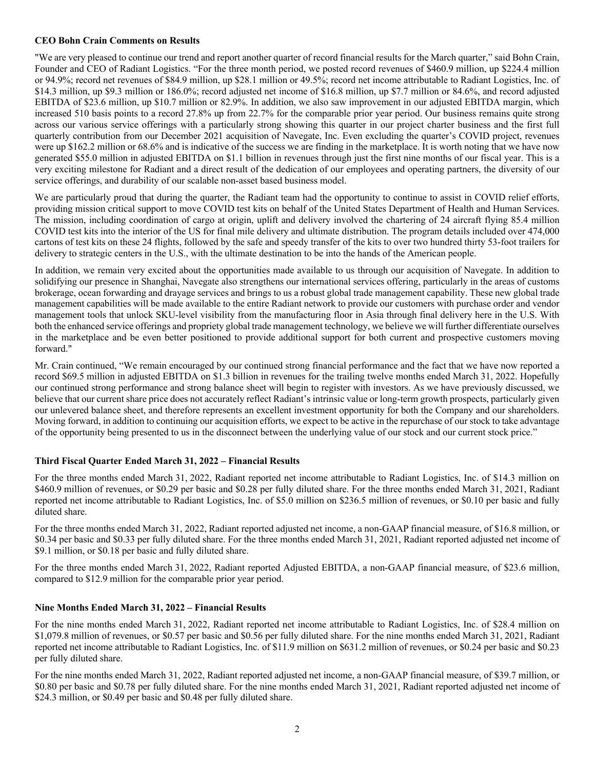# **CEO Bohn Crain Comments on Results**

"We are very pleased to continue our trend and report another quarter of record financial results for the March quarter," said Bohn Crain, Founder and CEO of Radiant Logistics. "For the three month period, we posted record revenues of \$460.9 million, up \$224.4 million or 94.9%; record net revenues of \$84.9 million, up \$28.1 million or 49.5%; record net income attributable to Radiant Logistics, Inc. of \$14.3 million, up \$9.3 million or 186.0%; record adjusted net income of \$16.8 million, up \$7.7 million or 84.6%, and record adjusted EBITDA of \$23.6 million, up \$10.7 million or 82.9%. In addition, we also saw improvement in our adjusted EBITDA margin, which increased 510 basis points to a record 27.8% up from 22.7% for the comparable prior year period. Our business remains quite strong across our various service offerings with a particularly strong showing this quarter in our project charter business and the first full quarterly contribution from our December 2021 acquisition of Navegate, Inc. Even excluding the quarter's COVID project, revenues were up \$162.2 million or 68.6% and is indicative of the success we are finding in the marketplace. It is worth noting that we have now generated \$55.0 million in adjusted EBITDA on \$1.1 billion in revenues through just the first nine months of our fiscal year. This is a very exciting milestone for Radiant and a direct result of the dedication of our employees and operating partners, the diversity of our service offerings, and durability of our scalable non-asset based business model.

We are particularly proud that during the quarter, the Radiant team had the opportunity to continue to assist in COVID relief efforts, providing mission critical support to move COVID test kits on behalf of the United States Department of Health and Human Services. The mission, including coordination of cargo at origin, uplift and delivery involved the chartering of 24 aircraft flying 85.4 million COVID test kits into the interior of the US for final mile delivery and ultimate distribution. The program details included over 474,000 cartons of test kits on these 24 flights, followed by the safe and speedy transfer of the kits to over two hundred thirty 53-foot trailers for delivery to strategic centers in the U.S., with the ultimate destination to be into the hands of the American people.

In addition, we remain very excited about the opportunities made available to us through our acquisition of Navegate. In addition to solidifying our presence in Shanghai, Navegate also strengthens our international services offering, particularly in the areas of customs brokerage, ocean forwarding and drayage services and brings to us a robust global trade management capability. These new global trade management capabilities will be made available to the entire Radiant network to provide our customers with purchase order and vendor management tools that unlock SKU-level visibility from the manufacturing floor in Asia through final delivery here in the U.S. With both the enhanced service offerings and propriety global trade management technology, we believe we will further differentiate ourselves in the marketplace and be even better positioned to provide additional support for both current and prospective customers moving forward."

Mr. Crain continued, "We remain encouraged by our continued strong financial performance and the fact that we have now reported a record \$69.5 million in adjusted EBITDA on \$1.3 billion in revenues for the trailing twelve months ended March 31, 2022. Hopefully our continued strong performance and strong balance sheet will begin to register with investors. As we have previously discussed, we believe that our current share price does not accurately reflect Radiant's intrinsic value or long-term growth prospects, particularly given our unlevered balance sheet, and therefore represents an excellent investment opportunity for both the Company and our shareholders. Moving forward, in addition to continuing our acquisition efforts, we expect to be active in the repurchase of our stock to take advantage of the opportunity being presented to us in the disconnect between the underlying value of our stock and our current stock price."

# **Third Fiscal Quarter Ended March 31, 2022 – Financial Results**

For the three months ended March 31, 2022, Radiant reported net income attributable to Radiant Logistics, Inc. of \$14.3 million on \$460.9 million of revenues, or \$0.29 per basic and \$0.28 per fully diluted share. For the three months ended March 31, 2021, Radiant reported net income attributable to Radiant Logistics, Inc. of \$5.0 million on \$236.5 million of revenues, or \$0.10 per basic and fully diluted share.

For the three months ended March 31, 2022, Radiant reported adjusted net income, a non-GAAP financial measure, of \$16.8 million, or \$0.34 per basic and \$0.33 per fully diluted share. For the three months ended March 31, 2021, Radiant reported adjusted net income of \$9.1 million, or \$0.18 per basic and fully diluted share.

For the three months ended March 31, 2022, Radiant reported Adjusted EBITDA, a non-GAAP financial measure, of \$23.6 million, compared to \$12.9 million for the comparable prior year period.

### **Nine Months Ended March 31, 2022 – Financial Results**

For the nine months ended March 31, 2022, Radiant reported net income attributable to Radiant Logistics, Inc. of \$28.4 million on \$1,079.8 million of revenues, or \$0.57 per basic and \$0.56 per fully diluted share. For the nine months ended March 31, 2021, Radiant reported net income attributable to Radiant Logistics, Inc. of \$11.9 million on \$631.2 million of revenues, or \$0.24 per basic and \$0.23 per fully diluted share.

For the nine months ended March 31, 2022, Radiant reported adjusted net income, a non-GAAP financial measure, of \$39.7 million, or \$0.80 per basic and \$0.78 per fully diluted share. For the nine months ended March 31, 2021, Radiant reported adjusted net income of \$24.3 million, or \$0.49 per basic and \$0.48 per fully diluted share.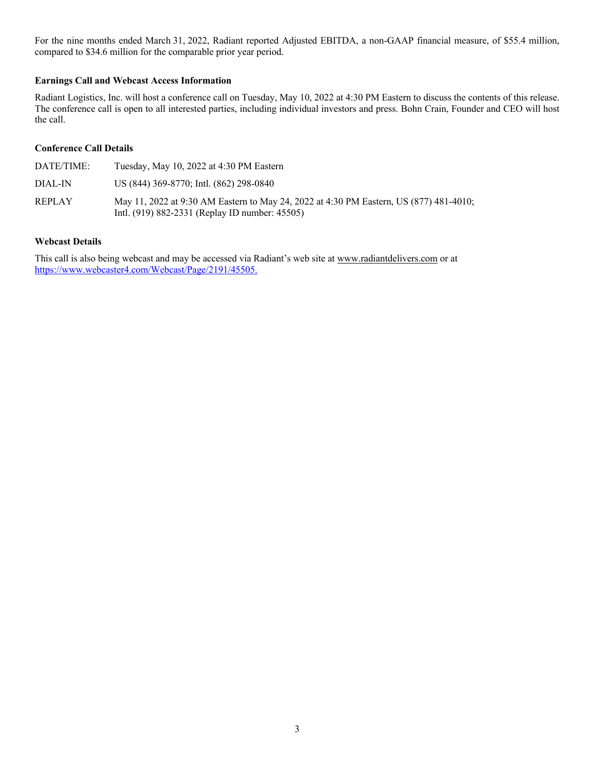For the nine months ended March 31, 2022, Radiant reported Adjusted EBITDA, a non-GAAP financial measure, of \$55.4 million, compared to \$34.6 million for the comparable prior year period.

# **Earnings Call and Webcast Access Information**

Radiant Logistics, Inc. will host a conference call on Tuesday, May 10, 2022 at 4:30 PM Eastern to discuss the contents of this release. The conference call is open to all interested parties, including individual investors and press. Bohn Crain, Founder and CEO will host the call.

### **Conference Call Details**

| DATE/TIME:    | Tuesday, May 10, 2022 at 4:30 PM Eastern                                                                                                 |
|---------------|------------------------------------------------------------------------------------------------------------------------------------------|
| DIAL-IN       | US (844) 369-8770; Intl. (862) 298-0840                                                                                                  |
| <b>REPLAY</b> | May 11, 2022 at 9:30 AM Eastern to May 24, 2022 at 4:30 PM Eastern, US (877) 481-4010;<br>Intl. (919) 882-2331 (Replay ID number: 45505) |

### **Webcast Details**

This call is also being webcast and may be accessed via Radiant's web site at www.radiantdelivers.com or at https://www.webcaster4.com/Webcast/Page/2191/45505.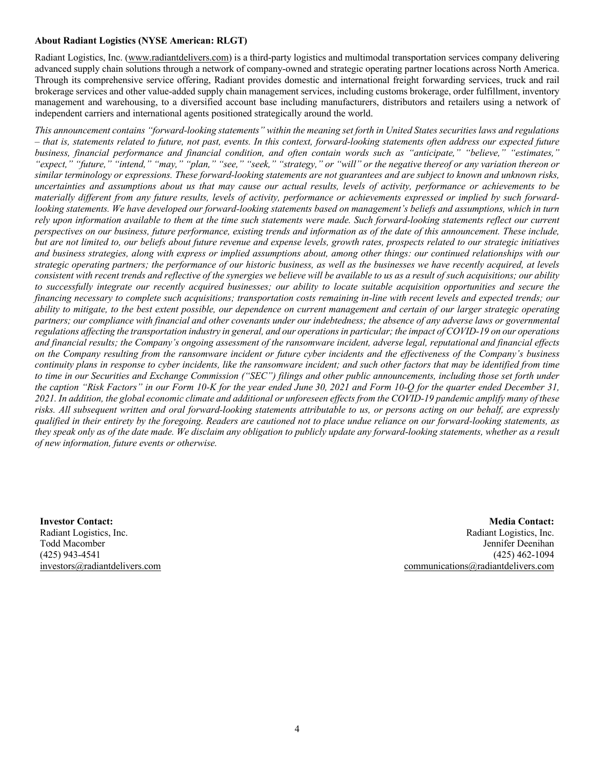### **About Radiant Logistics (NYSE American: RLGT)**

Radiant Logistics, Inc. (www.radiantdelivers.com) is a third-party logistics and multimodal transportation services company delivering advanced supply chain solutions through a network of company-owned and strategic operating partner locations across North America. Through its comprehensive service offering, Radiant provides domestic and international freight forwarding services, truck and rail brokerage services and other value-added supply chain management services, including customs brokerage, order fulfillment, inventory management and warehousing, to a diversified account base including manufacturers, distributors and retailers using a network of independent carriers and international agents positioned strategically around the world.

*This announcement contains "forward-looking statements" within the meaning set forth in United States securities laws and regulations – that is, statements related to future, not past, events. In this context, forward-looking statements often address our expected future business, financial performance and financial condition, and often contain words such as "anticipate," "believe," "estimates," "expect," "future," "intend," "may," "plan," "see," "seek," "strategy," or "will" or the negative thereof or any variation thereon or similar terminology or expressions. These forward-looking statements are not guarantees and are subject to known and unknown risks, uncertainties and assumptions about us that may cause our actual results, levels of activity, performance or achievements to be materially different from any future results, levels of activity, performance or achievements expressed or implied by such forwardlooking statements. We have developed our forward-looking statements based on management's beliefs and assumptions, which in turn rely upon information available to them at the time such statements were made. Such forward-looking statements reflect our current perspectives on our business, future performance, existing trends and information as of the date of this announcement. These include, but are not limited to, our beliefs about future revenue and expense levels, growth rates, prospects related to our strategic initiatives and business strategies, along with express or implied assumptions about, among other things: our continued relationships with our strategic operating partners; the performance of our historic business, as well as the businesses we have recently acquired, at levels consistent with recent trends and reflective of the synergies we believe will be available to us as a result of such acquisitions; our ability to successfully integrate our recently acquired businesses; our ability to locate suitable acquisition opportunities and secure the financing necessary to complete such acquisitions; transportation costs remaining in-line with recent levels and expected trends; our ability to mitigate, to the best extent possible, our dependence on current management and certain of our larger strategic operating partners; our compliance with financial and other covenants under our indebtedness; the absence of any adverse laws or governmental regulations affecting the transportation industry in general, and our operations in particular; the impact of COVID-19 on our operations and financial results; the Company's ongoing assessment of the ransomware incident, adverse legal, reputational and financial effects on the Company resulting from the ransomware incident or future cyber incidents and the effectiveness of the Company's business continuity plans in response to cyber incidents, like the ransomware incident; and such other factors that may be identified from time to time in our Securities and Exchange Commission ("SEC") filings and other public announcements, including those set forth under the caption "Risk Factors" in our Form 10-K for the year ended June 30, 2021 and Form 10-Q for the quarter ended December 31, 2021. In addition, the global economic climate and additional or unforeseen effects from the COVID-19 pandemic amplify many of these risks. All subsequent written and oral forward-looking statements attributable to us, or persons acting on our behalf, are expressly qualified in their entirety by the foregoing. Readers are cautioned not to place undue reliance on our forward-looking statements, as they speak only as of the date made. We disclaim any obligation to publicly update any forward-looking statements, whether as a result of new information, future events or otherwise.*

**Investor Contact:** Radiant Logistics, Inc. Todd Macomber (425) 943-4541 investors@radiantdelivers.com

**Media Contact:** Radiant Logistics, Inc. Jennifer Deenihan (425) 462-1094 communications@radiantdelivers.com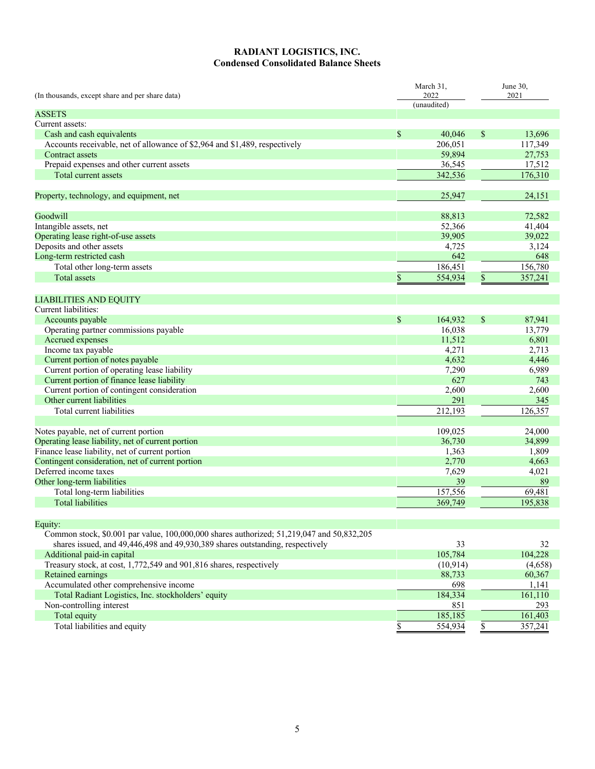# **RADIANT LOGISTICS, INC. Condensed Consolidated Balance Sheets**

| (In thousands, except share and per share data)                                           |               | March 31,<br>2022 |               | June 30,<br>2021 |
|-------------------------------------------------------------------------------------------|---------------|-------------------|---------------|------------------|
|                                                                                           |               | (unaudited)       |               |                  |
| <b>ASSETS</b>                                                                             |               |                   |               |                  |
| Current assets:                                                                           |               |                   |               |                  |
| Cash and cash equivalents                                                                 | \$            | 40,046            | \$            | 13.696           |
| Accounts receivable, net of allowance of \$2,964 and \$1,489, respectively                |               | 206.051           |               | 117,349          |
| Contract assets                                                                           |               | 59,894            |               | 27,753           |
| Prepaid expenses and other current assets                                                 |               | 36,545            |               | 17,512           |
| Total current assets                                                                      |               | 342,536           |               | 176,310          |
|                                                                                           |               |                   |               |                  |
| Property, technology, and equipment, net                                                  |               | 25,947            |               | 24,151           |
| Goodwill                                                                                  |               | 88,813            |               | 72,582           |
| Intangible assets, net                                                                    |               | 52,366            |               | 41,404           |
| Operating lease right-of-use assets                                                       |               | 39,905            |               | 39,022           |
| Deposits and other assets                                                                 |               | 4,725             |               | 3,124            |
| Long-term restricted cash                                                                 |               | 642               |               | 648              |
| Total other long-term assets                                                              |               | 186,451           |               | 156,780          |
| Total assets                                                                              | \$            | 554,934           | \$            | 357,241          |
|                                                                                           |               |                   |               |                  |
| <b>LIABILITIES AND EQUITY</b>                                                             |               |                   |               |                  |
| Current liabilities:                                                                      |               |                   |               |                  |
| Accounts payable                                                                          | \$            | 164,932           | \$            | 87,941           |
| Operating partner commissions payable                                                     |               | 16,038            |               | 13,779           |
| Accrued expenses                                                                          |               | 11,512            |               | 6,801            |
| Income tax payable                                                                        |               | 4,271             |               | 2,713            |
| Current portion of notes payable                                                          |               | 4,632             |               | 4,446            |
| Current portion of operating lease liability                                              |               | 7,290             |               | 6,989            |
| Current portion of finance lease liability                                                |               | 627               |               | 743              |
| Current portion of contingent consideration                                               |               | 2,600             |               | 2,600            |
| Other current liabilities                                                                 |               | 291               |               | 345              |
| Total current liabilities                                                                 |               | 212,193           |               | 126,357          |
|                                                                                           |               |                   |               |                  |
| Notes payable, net of current portion                                                     |               | 109,025           |               | 24,000           |
| Operating lease liability, net of current portion                                         |               | 36,730            |               | 34,899           |
| Finance lease liability, net of current portion                                           |               | 1,363             |               | 1,809            |
| Contingent consideration, net of current portion                                          |               | 2,770             |               | 4,663            |
| Deferred income taxes                                                                     |               | 7,629             |               | 4,021            |
| Other long-term liabilities                                                               |               | 39                |               | 89               |
| Total long-term liabilities                                                               |               | 157,556           |               | 69,481           |
| <b>Total liabilities</b>                                                                  |               | 369,749           |               | 195,838          |
|                                                                                           |               |                   |               |                  |
| Equity:                                                                                   |               |                   |               |                  |
| Common stock, \$0.001 par value, 100,000,000 shares authorized; 51,219,047 and 50,832,205 |               |                   |               |                  |
| shares issued, and 49,446,498 and 49,930,389 shares outstanding, respectively             |               | 33                |               | 32               |
| Additional paid-in capital                                                                |               | 105,784           |               | 104,228          |
| Treasury stock, at cost, 1,772,549 and 901,816 shares, respectively                       |               | (10, 914)         |               | (4,658)          |
| Retained earnings                                                                         |               | 88,733            |               | 60,367           |
| Accumulated other comprehensive income                                                    |               | 698               |               | 1,141            |
| Total Radiant Logistics, Inc. stockholders' equity                                        |               | 184,334           |               | 161,110          |
| Non-controlling interest                                                                  |               | 851               |               | 293              |
| Total equity                                                                              |               | 185,185           |               | 161,403          |
| Total liabilities and equity                                                              | $\frac{1}{2}$ | 554,934           | $\frac{1}{2}$ | 357,241          |
|                                                                                           |               |                   |               |                  |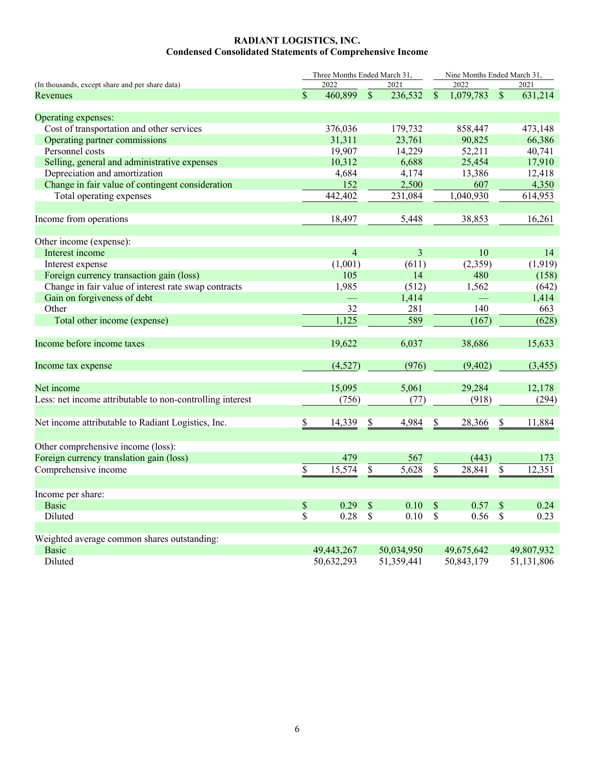# **RADIANT LOGISTICS, INC. Condensed Consolidated Statements of Comprehensive Income**

|                                                           | Three Months Ended March 31, |                |               |                  |               | Nine Months Ended March 31, |              |            |  |
|-----------------------------------------------------------|------------------------------|----------------|---------------|------------------|---------------|-----------------------------|--------------|------------|--|
| (In thousands, except share and per share data)           |                              | 2022           |               | 2021             |               | 2022                        |              | 2021       |  |
| Revenues                                                  | $\mathbb{S}$                 | 460,899        | $\mathcal{S}$ | 236,532          | $\mathbb{S}$  | 1,079,783                   | $\mathbb{S}$ | 631,214    |  |
| Operating expenses:                                       |                              |                |               |                  |               |                             |              |            |  |
| Cost of transportation and other services                 |                              | 376,036        |               | 179,732          |               | 858,447                     |              | 473,148    |  |
| Operating partner commissions                             |                              | 31,311         |               | 23,761           |               | 90,825                      |              | 66,386     |  |
| Personnel costs                                           |                              | 19,907         |               | 14,229           |               | 52,211                      |              | 40,741     |  |
| Selling, general and administrative expenses              |                              | 10,312         |               | 6,688            |               | 25,454                      |              | 17,910     |  |
| Depreciation and amortization                             |                              | 4,684          |               | 4,174            |               | 13,386                      |              | 12,418     |  |
| Change in fair value of contingent consideration          |                              | 152            |               | 2,500            |               | 607                         |              | 4,350      |  |
| Total operating expenses                                  |                              | 442,402        |               | 231,084          |               | 1,040,930                   |              | 614,953    |  |
|                                                           |                              |                |               |                  |               |                             |              |            |  |
| Income from operations                                    |                              | 18,497         |               | 5,448            |               | 38,853                      |              | 16,261     |  |
| Other income (expense):                                   |                              |                |               |                  |               |                             |              |            |  |
| Interest income                                           |                              | $\overline{4}$ |               | 3                |               | 10                          |              | 14         |  |
| Interest expense                                          |                              | (1,001)        |               | (611)            |               | (2,359)                     |              | (1, 919)   |  |
| Foreign currency transaction gain (loss)                  |                              | 105            |               | 14               |               | 480                         |              | (158)      |  |
| Change in fair value of interest rate swap contracts      |                              | 1,985          |               | (512)            |               | 1,562                       |              | (642)      |  |
| Gain on forgiveness of debt                               |                              |                |               | 1,414            |               |                             |              | 1,414      |  |
| Other                                                     |                              | 32             |               | 281              |               | 140                         |              | 663        |  |
| Total other income (expense)                              |                              | 1,125          |               | $\overline{589}$ |               | (167)                       |              | (628)      |  |
| Income before income taxes                                |                              | 19,622         |               | 6,037            |               | 38,686                      |              | 15,633     |  |
|                                                           |                              |                |               |                  |               |                             |              |            |  |
| Income tax expense                                        |                              | (4,527)        |               | (976)            |               | (9,402)                     |              | (3, 455)   |  |
| Net income                                                |                              | 15,095         |               | 5,061            |               | 29,284                      |              | 12,178     |  |
| Less: net income attributable to non-controlling interest |                              | (756)          |               | (77)             |               | (918)                       |              | (294)      |  |
|                                                           |                              |                |               |                  |               |                             |              |            |  |
| Net income attributable to Radiant Logistics, Inc.        | \$                           | 14,339         | \$            | 4,984            | \$            | 28,366                      | \$           | 11,884     |  |
| Other comprehensive income (loss):                        |                              |                |               |                  |               |                             |              |            |  |
| Foreign currency translation gain (loss)                  |                              | 479            |               | 567              |               | (443)                       |              | 173        |  |
| Comprehensive income                                      | \$                           | 15,574         | \$            | 5,628            | \$            | 28,841                      | \$           | 12,351     |  |
|                                                           |                              |                |               |                  |               |                             |              |            |  |
| Income per share:                                         |                              |                |               |                  |               |                             |              |            |  |
| <b>Basic</b>                                              | \$                           | 0.29           | $\$$          | 0.10             | \$            | 0.57                        | \$           | 0.24       |  |
| Diluted                                                   | \$                           | 0.28           | $\mathcal{S}$ | 0.10             | $\mathcal{S}$ | 0.56                        | \$           | 0.23       |  |
| Weighted average common shares outstanding:               |                              |                |               |                  |               |                             |              |            |  |
| <b>Basic</b>                                              |                              | 49,443,267     |               | 50,034,950       |               | 49,675,642                  |              | 49,807,932 |  |
| Diluted                                                   |                              | 50,632,293     |               | 51,359,441       |               | 50,843,179                  |              | 51,131,806 |  |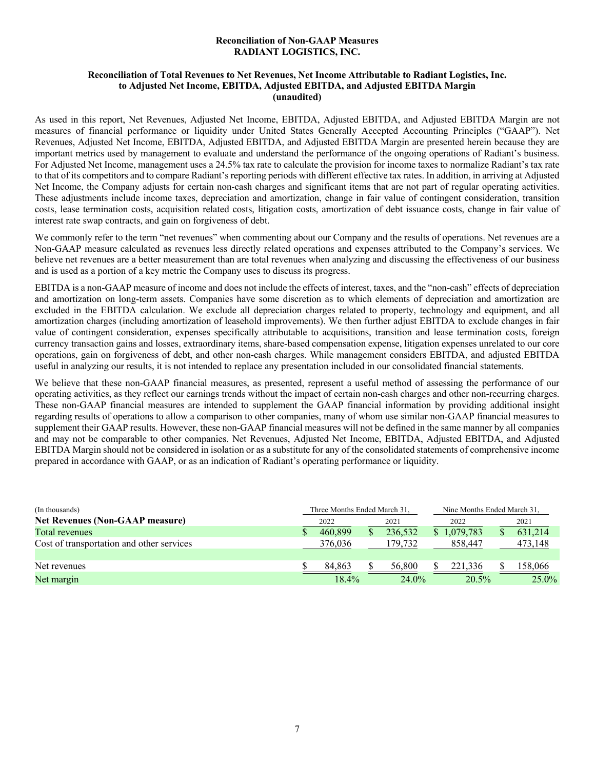### **Reconciliation of Non-GAAP Measures RADIANT LOGISTICS, INC.**

# **Reconciliation of Total Revenues to Net Revenues, Net Income Attributable to Radiant Logistics, Inc. to Adjusted Net Income, EBITDA, Adjusted EBITDA, and Adjusted EBITDA Margin (unaudited)**

As used in this report, Net Revenues, Adjusted Net Income, EBITDA, Adjusted EBITDA, and Adjusted EBITDA Margin are not measures of financial performance or liquidity under United States Generally Accepted Accounting Principles ("GAAP"). Net Revenues, Adjusted Net Income, EBITDA, Adjusted EBITDA, and Adjusted EBITDA Margin are presented herein because they are important metrics used by management to evaluate and understand the performance of the ongoing operations of Radiant's business. For Adjusted Net Income, management uses a 24.5% tax rate to calculate the provision for income taxes to normalize Radiant's tax rate to that of its competitors and to compare Radiant's reporting periods with different effective tax rates. In addition, in arriving at Adjusted Net Income, the Company adjusts for certain non-cash charges and significant items that are not part of regular operating activities. These adjustments include income taxes, depreciation and amortization, change in fair value of contingent consideration, transition costs, lease termination costs, acquisition related costs, litigation costs, amortization of debt issuance costs, change in fair value of interest rate swap contracts, and gain on forgiveness of debt.

We commonly refer to the term "net revenues" when commenting about our Company and the results of operations. Net revenues are a Non-GAAP measure calculated as revenues less directly related operations and expenses attributed to the Company's services. We believe net revenues are a better measurement than are total revenues when analyzing and discussing the effectiveness of our business and is used as a portion of a key metric the Company uses to discuss its progress.

EBITDA is a non-GAAP measure of income and does not include the effects of interest, taxes, and the "non-cash" effects of depreciation and amortization on long-term assets. Companies have some discretion as to which elements of depreciation and amortization are excluded in the EBITDA calculation. We exclude all depreciation charges related to property, technology and equipment, and all amortization charges (including amortization of leasehold improvements). We then further adjust EBITDA to exclude changes in fair value of contingent consideration, expenses specifically attributable to acquisitions, transition and lease termination costs, foreign currency transaction gains and losses, extraordinary items, share-based compensation expense, litigation expenses unrelated to our core operations, gain on forgiveness of debt, and other non-cash charges. While management considers EBITDA, and adjusted EBITDA useful in analyzing our results, it is not intended to replace any presentation included in our consolidated financial statements.

We believe that these non-GAAP financial measures, as presented, represent a useful method of assessing the performance of our operating activities, as they reflect our earnings trends without the impact of certain non-cash charges and other non-recurring charges. These non-GAAP financial measures are intended to supplement the GAAP financial information by providing additional insight regarding results of operations to allow a comparison to other companies, many of whom use similar non-GAAP financial measures to supplement their GAAP results. However, these non-GAAP financial measures will not be defined in the same manner by all companies and may not be comparable to other companies. Net Revenues, Adjusted Net Income, EBITDA, Adjusted EBITDA, and Adjusted EBITDA Margin should not be considered in isolation or as a substitute for any of the consolidated statements of comprehensive income prepared in accordance with GAAP, or as an indication of Radiant's operating performance or liquidity.

| (In thousands)                            | Three Months Ended March 31, |          |      |         |  | Nine Months Ended March 31. |  |          |  |
|-------------------------------------------|------------------------------|----------|------|---------|--|-----------------------------|--|----------|--|
| <b>Net Revenues (Non-GAAP measure)</b>    |                              | 2022     | 2021 |         |  | 2022                        |  | 2021     |  |
| Total revenues                            |                              | 460.899  |      | 236,532 |  | \$1,079,783                 |  | 631.214  |  |
| Cost of transportation and other services |                              | 376,036  |      | 179,732 |  | 858,447                     |  | 473,148  |  |
| Net revenues                              |                              | 84.863   |      | 56,800  |  | 221,336                     |  | 158,066  |  |
| Net margin                                |                              | $18.4\%$ |      | 24.0%   |  | $20.5\%$                    |  | $25.0\%$ |  |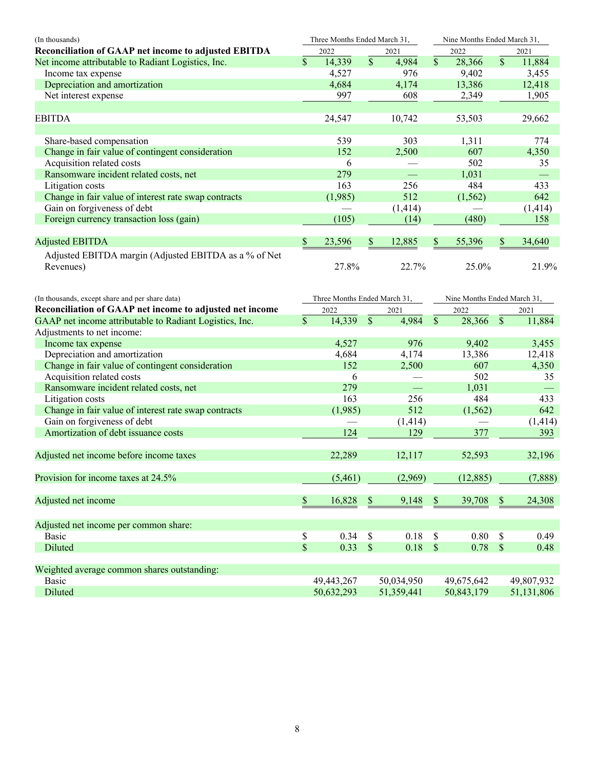| (In thousands)                                           | Three Months Ended March 31, |                              |                           |            |                 | Nine Months Ended March 31, |                           |            |
|----------------------------------------------------------|------------------------------|------------------------------|---------------------------|------------|-----------------|-----------------------------|---------------------------|------------|
| Reconciliation of GAAP net income to adjusted EBITDA     |                              | 2022<br>2021                 |                           |            | 2022<br>2021    |                             |                           |            |
| Net income attributable to Radiant Logistics, Inc.       | $\mathbb{S}$                 | 14,339                       | $\overline{\$}$           | 4,984      | $\overline{\$}$ | 28,366                      | \$                        | 11,884     |
| Income tax expense                                       |                              | 4,527                        |                           | 976        |                 | 9,402                       |                           | 3,455      |
| Depreciation and amortization                            |                              | 4,684                        |                           | 4,174      |                 | 13,386                      |                           | 12,418     |
| Net interest expense                                     |                              | 997                          |                           | 608        |                 | 2,349                       |                           | 1,905      |
|                                                          |                              |                              |                           |            |                 |                             |                           |            |
| <b>EBITDA</b>                                            |                              | 24,547                       |                           | 10,742     |                 | 53,503                      |                           | 29,662     |
|                                                          |                              |                              |                           |            |                 |                             |                           |            |
| Share-based compensation                                 |                              | 539                          |                           | 303        |                 | 1,311                       |                           | 774        |
| Change in fair value of contingent consideration         |                              | 152                          |                           | 2,500      |                 | 607                         |                           | 4,350      |
| Acquisition related costs                                |                              | 6                            |                           |            |                 | 502                         |                           | 35         |
| Ransomware incident related costs, net                   |                              | 279                          |                           | <u>e </u>  |                 | 1,031                       |                           |            |
| Litigation costs                                         |                              | 163                          |                           | 256        |                 | 484                         |                           | 433        |
| Change in fair value of interest rate swap contracts     |                              | (1,985)                      |                           | 512        |                 | (1, 562)                    |                           | 642        |
| Gain on forgiveness of debt                              |                              |                              |                           | (1, 414)   |                 |                             |                           | (1, 414)   |
| Foreign currency transaction loss (gain)                 |                              | (105)                        |                           | (14)       |                 | (480)                       |                           | 158        |
|                                                          |                              |                              |                           |            |                 |                             |                           |            |
| <b>Adjusted EBITDA</b>                                   | \$                           | 23,596                       | \$                        | 12,885     | S               | 55,396                      | \$                        | 34,640     |
| Adjusted EBITDA margin (Adjusted EBITDA as a % of Net    |                              |                              |                           |            |                 |                             |                           |            |
| Revenues)                                                |                              | 27.8%                        |                           | 22.7%      |                 | 25.0%                       |                           | 21.9%      |
|                                                          |                              |                              |                           |            |                 |                             |                           |            |
|                                                          |                              |                              |                           |            |                 |                             |                           |            |
| (In thousands, except share and per share data)          |                              | Three Months Ended March 31, |                           |            |                 | Nine Months Ended March 31, |                           |            |
| Reconciliation of GAAP net income to adjusted net income |                              | 2022                         |                           | 2021       |                 | 2022                        |                           | 2021       |
| GAAP net income attributable to Radiant Logistics, Inc.  | $\mathbb{S}$                 | 14,339                       | $\sqrt{\ }$               | 4,984      | $\mathbb{S}$    | 28,366                      | $\boldsymbol{\mathsf{S}}$ | 11,884     |
| Adjustments to net income:                               |                              |                              |                           |            |                 |                             |                           |            |
| Income tax expense                                       |                              | 4,527                        |                           | 976        |                 | 9,402                       |                           | 3,455      |
| Depreciation and amortization                            |                              | 4,684                        |                           | 4,174      |                 | 13,386                      |                           | 12,418     |
| Change in fair value of contingent consideration         |                              | 152                          |                           | 2,500      |                 | 607                         |                           | 4,350      |
| Acquisition related costs                                |                              | 6                            |                           |            |                 | 502                         |                           | 35         |
| Ransomware incident related costs, net                   |                              | 279                          |                           |            |                 | 1,031                       |                           |            |
| Litigation costs                                         |                              | 163                          |                           | 256        |                 | 484                         |                           | 433        |
| Change in fair value of interest rate swap contracts     |                              | (1,985)                      |                           | 512        |                 | (1, 562)                    |                           | 642        |
| Gain on forgiveness of debt                              |                              |                              |                           | (1, 414)   |                 |                             |                           | (1,414)    |
| Amortization of debt issuance costs                      |                              | 124                          |                           | 129        |                 | 377                         |                           | 393        |
|                                                          |                              |                              |                           |            |                 |                             |                           |            |
| Adjusted net income before income taxes                  |                              | 22,289                       |                           | 12,117     |                 | 52,593                      |                           | 32,196     |
|                                                          |                              |                              |                           |            |                 |                             |                           |            |
| Provision for income taxes at 24.5%                      |                              | (5,461)                      |                           | (2,969)    |                 | (12, 885)                   |                           | (7,888)    |
|                                                          |                              |                              |                           |            |                 |                             |                           |            |
| Adjusted net income                                      | $\$$                         | 16,828                       | $\boldsymbol{\mathsf{S}}$ | 9,148      | \$              | 39,708                      | $\boldsymbol{\mathsf{S}}$ | 24,308     |
|                                                          |                              |                              |                           |            |                 |                             |                           |            |
|                                                          |                              |                              |                           |            |                 |                             |                           |            |
| Adjusted net income per common share:                    |                              |                              |                           |            |                 |                             |                           |            |
| <b>Basic</b>                                             | $\$$                         | 0.34                         | $\$$                      | 0.18       | \$              | $0.80\,$                    | \$                        | 0.49       |
| Diluted                                                  | \$                           | 0.33                         | $\mathcal{S}$             | 0.18       | $\mathbb{S}$    | 0.78                        | $\mathcal{S}$             | 0.48       |
|                                                          |                              |                              |                           |            |                 |                             |                           |            |
| Weighted average common shares outstanding:              |                              |                              |                           |            |                 |                             |                           |            |
| <b>Basic</b>                                             |                              | 49,443,267                   |                           | 50,034,950 |                 | 49,675,642                  |                           | 49,807,932 |
| Diluted                                                  |                              | 50,632,293                   |                           | 51,359,441 |                 | 50,843,179                  |                           | 51,131,806 |